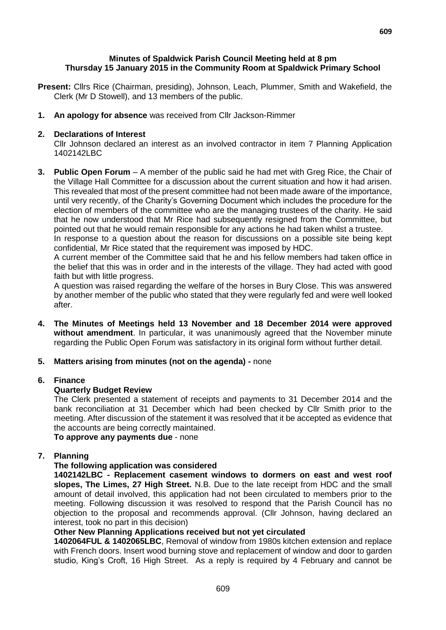## **Minutes of Spaldwick Parish Council Meeting held at 8 pm Thursday 15 January 2015 in the Community Room at Spaldwick Primary School**

- **Present:** Cllrs Rice (Chairman, presiding), Johnson, Leach, Plummer, Smith and Wakefield, the Clerk (Mr D Stowell), and 13 members of the public.
- **1. An apology for absence** was received from Cllr Jackson-Rimmer

## **2. Declarations of Interest**

Cllr Johnson declared an interest as an involved contractor in item 7 Planning Application 1402142LBC

**3. Public Open Forum** – A member of the public said he had met with Greg Rice, the Chair of the Village Hall Committee for a discussion about the current situation and how it had arisen. This revealed that most of the present committee had not been made aware of the importance, until very recently, of the Charity's Governing Document which includes the procedure for the election of members of the committee who are the managing trustees of the charity. He said that he now understood that Mr Rice had subsequently resigned from the Committee, but pointed out that he would remain responsible for any actions he had taken whilst a trustee. In response to a question about the reason for discussions on a possible site being kept

confidential, Mr Rice stated that the requirement was imposed by HDC.

A current member of the Committee said that he and his fellow members had taken office in the belief that this was in order and in the interests of the village. They had acted with good faith but with little progress.

A question was raised regarding the welfare of the horses in Bury Close. This was answered by another member of the public who stated that they were regularly fed and were well looked after.

- **4. The Minutes of Meetings held 13 November and 18 December 2014 were approved without amendment**. In particular, it was unanimously agreed that the November minute regarding the Public Open Forum was satisfactory in its original form without further detail.
- **5. Matters arising from minutes (not on the agenda) -** none

## **6. Finance**

## **Quarterly Budget Review**

The Clerk presented a statement of receipts and payments to 31 December 2014 and the bank reconciliation at 31 December which had been checked by Cllr Smith prior to the meeting. After discussion of the statement it was resolved that it be accepted as evidence that the accounts are being correctly maintained.

**To approve any payments due** - none

## **7. Planning**

## **The following application was considered**

**1402142LBC - Replacement casement windows to dormers on east and west roof slopes, The Limes, 27 High Street.** N.B. Due to the late receipt from HDC and the small amount of detail involved, this application had not been circulated to members prior to the meeting. Following discussion it was resolved to respond that the Parish Council has no objection to the proposal and recommends approval. (Cllr Johnson, having declared an interest, took no part in this decision)

### **Other New Planning Applications received but not yet circulated**

**1402064FUL & 1402065LBC**, Removal of window from 1980s kitchen extension and replace with French doors. Insert wood burning stove and replacement of window and door to garden studio, King's Croft, 16 High Street. As a reply is required by 4 February and cannot be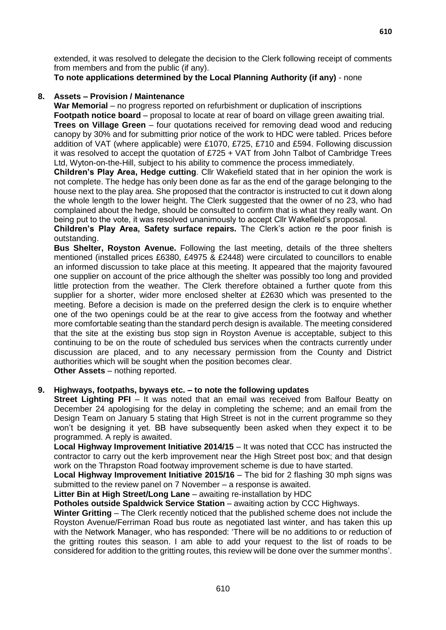extended, it was resolved to delegate the decision to the Clerk following receipt of comments from members and from the public (if any).

**To note applications determined by the Local Planning Authority (if any)** - none

## **8. Assets – Provision / Maintenance**

**War Memorial** – no progress reported on refurbishment or duplication of inscriptions **Footpath notice board** – proposal to locate at rear of board on village green awaiting trial. **Trees on Village Green** – four quotations received for removing dead wood and reducing canopy by 30% and for submitting prior notice of the work to HDC were tabled. Prices before addition of VAT (where applicable) were £1070, £725, £710 and £594. Following discussion it was resolved to accept the quotation of £725 + VAT from John Talbot of Cambridge Trees Ltd, Wyton-on-the-Hill, subject to his ability to commence the process immediately.

**Children's Play Area, Hedge cutting**. Cllr Wakefield stated that in her opinion the work is not complete. The hedge has only been done as far as the end of the garage belonging to the house next to the play area. She proposed that the contractor is instructed to cut it down along the whole length to the lower height. The Clerk suggested that the owner of no 23, who had complained about the hedge, should be consulted to confirm that is what they really want. On being put to the vote, it was resolved unanimously to accept Cllr Wakefield's proposal.

**Children's Play Area, Safety surface repairs.** The Clerk's action re the poor finish is outstanding.

**Bus Shelter, Royston Avenue.** Following the last meeting, details of the three shelters mentioned (installed prices £6380, £4975 & £2448) were circulated to councillors to enable an informed discussion to take place at this meeting. It appeared that the majority favoured one supplier on account of the price although the shelter was possibly too long and provided little protection from the weather. The Clerk therefore obtained a further quote from this supplier for a shorter, wider more enclosed shelter at £2630 which was presented to the meeting. Before a decision is made on the preferred design the clerk is to enquire whether one of the two openings could be at the rear to give access from the footway and whether more comfortable seating than the standard perch design is available. The meeting considered that the site at the existing bus stop sign in Royston Avenue is acceptable, subject to this continuing to be on the route of scheduled bus services when the contracts currently under discussion are placed, and to any necessary permission from the County and District authorities which will be sought when the position becomes clear. **Other Assets** – nothing reported.

# **9. Highways, footpaths, byways etc. – to note the following updates**

**Street Lighting PFI** – It was noted that an email was received from Balfour Beatty on December 24 apologising for the delay in completing the scheme; and an email from the Design Team on January 5 stating that High Street is not in the current programme so they won't be designing it yet. BB have subsequently been asked when they expect it to be programmed. A reply is awaited.

**Local Highway Improvement Initiative 2014/15** – It was noted that CCC has instructed the contractor to carry out the kerb improvement near the High Street post box; and that design work on the Thrapston Road footway improvement scheme is due to have started.

**Local Highway Improvement Initiative 2015/16** – The bid for 2 flashing 30 mph signs was submitted to the review panel on 7 November – a response is awaited.

**Litter Bin at High Street/Long Lane** – awaiting re-installation by HDC

**Potholes outside Spaldwick Service Station – awaiting action by CCC Highways.** 

**Winter Gritting** – The Clerk recently noticed that the published scheme does not include the Royston Avenue/Ferriman Road bus route as negotiated last winter, and has taken this up with the Network Manager, who has responded: 'There will be no additions to or reduction of the gritting routes this season. I am able to add your request to the list of roads to be considered for addition to the gritting routes, this review will be done over the summer months'.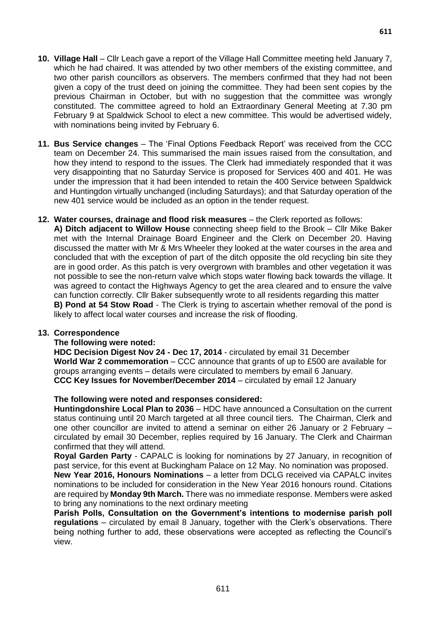- **10. Village Hall**  Cllr Leach gave a report of the Village Hall Committee meeting held January 7, which he had chaired. It was attended by two other members of the existing committee, and two other parish councillors as observers. The members confirmed that they had not been given a copy of the trust deed on joining the committee. They had been sent copies by the previous Chairman in October, but with no suggestion that the committee was wrongly constituted. The committee agreed to hold an Extraordinary General Meeting at 7.30 pm February 9 at Spaldwick School to elect a new committee. This would be advertised widely, with nominations being invited by February 6.
- **11. Bus Service changes**  The 'Final Options Feedback Report' was received from the CCC team on December 24. This summarised the main issues raised from the consultation, and how they intend to respond to the issues. The Clerk had immediately responded that it was very disappointing that no Saturday Service is proposed for Services 400 and 401. He was under the impression that it had been intended to retain the 400 Service between Spaldwick and Huntingdon virtually unchanged (including Saturdays); and that Saturday operation of the new 401 service would be included as an option in the tender request.
- **12. Water courses, drainage and flood risk measures** the Clerk reported as follows:

**A) Ditch adjacent to Willow House** connecting sheep field to the Brook – Cllr Mike Baker met with the Internal Drainage Board Engineer and the Clerk on December 20. Having discussed the matter with Mr & Mrs Wheeler they looked at the water courses in the area and concluded that with the exception of part of the ditch opposite the old recycling bin site they are in good order. As this patch is very overgrown with brambles and other vegetation it was not possible to see the non-return valve which stops water flowing back towards the village. It was agreed to contact the Highways Agency to get the area cleared and to ensure the valve can function correctly. Cllr Baker subsequently wrote to all residents regarding this matter **B) Pond at 54 Stow Road** - The Clerk is trying to ascertain whether removal of the pond is likely to affect local water courses and increase the risk of flooding.

### **13. Correspondence**

### **The following were noted:**

**HDC Decision Digest Nov 24 - Dec 17, 2014** - circulated by email 31 December **World War 2 commemoration** – CCC announce that grants of up to £500 are available for groups arranging events – details were circulated to members by email 6 January. **CCC Key Issues for November/December 2014** – circulated by email 12 January

### **The following were noted and responses considered:**

**Huntingdonshire Local Plan to 2036** – HDC have announced a Consultation on the current status continuing until 20 March targeted at all three council tiers. The Chairman, Clerk and one other councillor are invited to attend a seminar on either 26 January or 2 February – circulated by email 30 December, replies required by 16 January. The Clerk and Chairman confirmed that they will attend.

**Royal Garden Party** - CAPALC is looking for nominations by 27 January, in recognition of past service, for this event at Buckingham Palace on 12 May. No nomination was proposed.

**New Year 2016, Honours Nominations** – a letter from DCLG received via CAPALC invites nominations to be included for consideration in the New Year 2016 honours round. Citations are required by **Monday 9th March.** There was no immediate response. Members were asked to bring any nominations to the next ordinary meeting

**Parish Polls, Consultation on the Government's intentions to modernise parish poll regulations** – circulated by email 8 January, together with the Clerk's observations. There being nothing further to add, these observations were accepted as reflecting the Council's view.